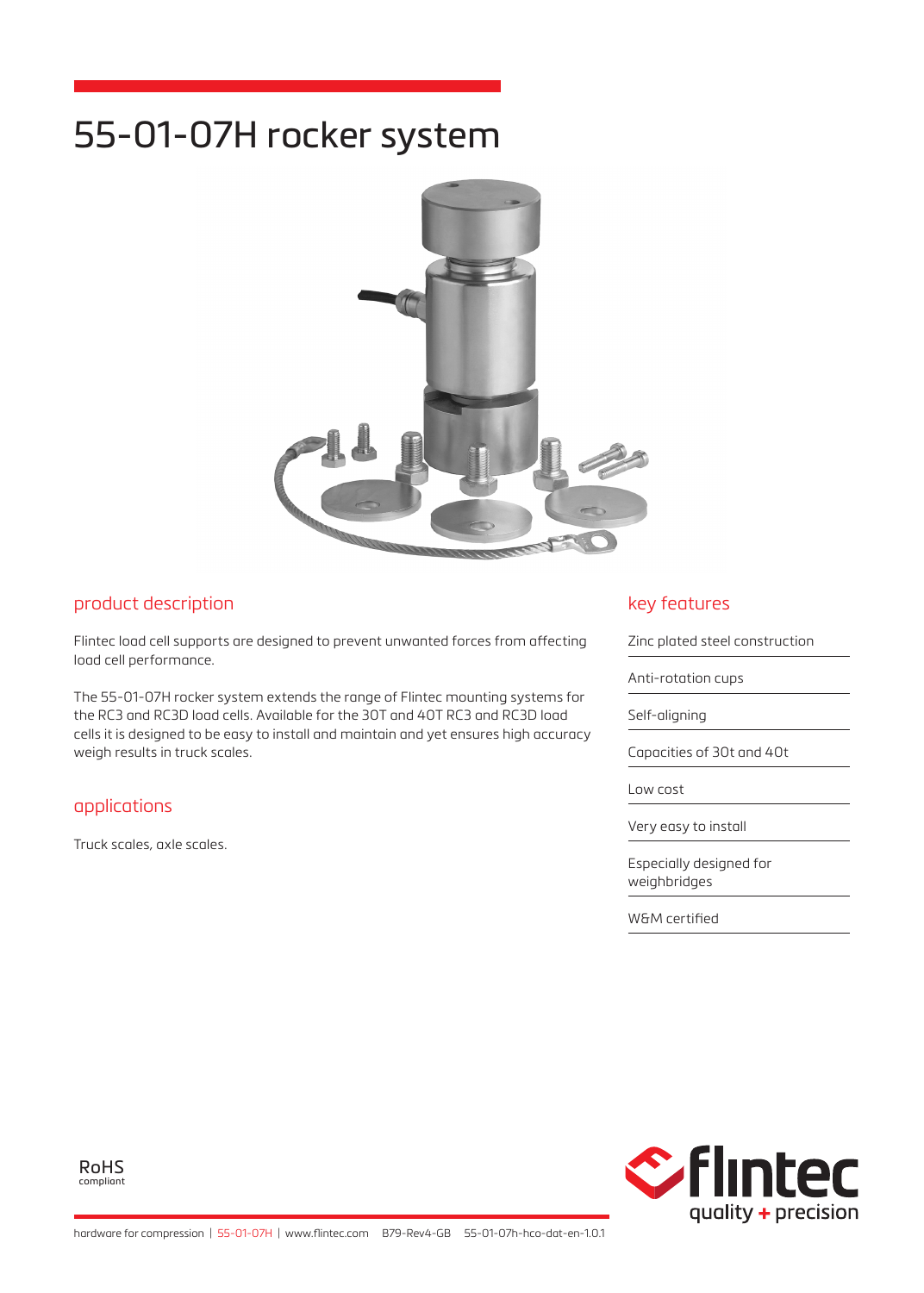# 55-01-07H rocker system



#### product description

Flintec load cell supports are designed to prevent unwanted forces from affecting load cell performance.

The 55-01-07H rocker system extends the range of Flintec mounting systems for the RC3 and RC3D load cells. Available for the 30T and 40T RC3 and RC3D load cells it is designed to be easy to install and maintain and yet ensures high accuracy weigh results in truck scales.

## applications

Truck scales, axle scales.

#### key features

Zinc plated steel construction

Anti-rotation cups

Self-aligning

Capacities of 30t and 40t

Low cost

Very easy to install

Especially designed for weighbridges

W&M certified